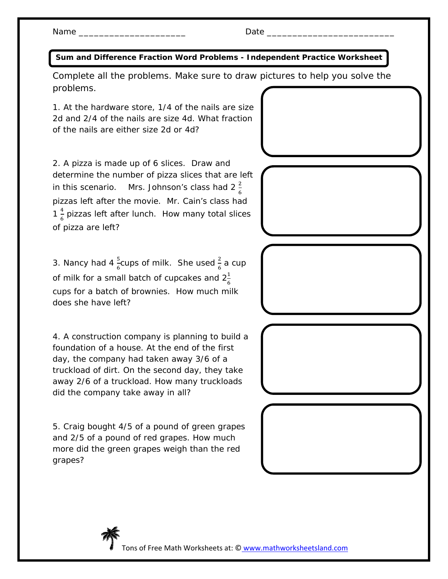**Sum and Difference Fraction Word Problems - Independent Practice Worksheet** 

Complete all the problems. Make sure to draw pictures to help you solve the problems.

1. At the hardware store, 1/4 of the nails are size 2d and 2/4 of the nails are size 4d. What fraction of the nails are either size 2d or 4d?

2. A pizza is made up of 6 slices. Draw and determine the number of pizza slices that are left in this scenario. Mrs. Johnson's class had 2  $\frac{2}{6}$ pizzas left after the movie. Mr. Cain's class had 1 $\frac{4}{6}$  pizzas left after lunch. How many total slices of pizza are left?

3. Nancy had 4  $\frac{5}{6}$ cups of milk. She used  $\frac{2}{6}$  a cup of milk for a small batch of cupcakes and  $2\frac{1}{6}$ cups for a batch of brownies. How much milk does she have left?

4. A construction company is planning to build a foundation of a house. At the end of the first day, the company had taken away 3/6 of a truckload of dirt. On the second day, they take away 2/6 of a truckload. How many truckloads did the company take away in all?

5. Craig bought 4/5 of a pound of green grapes and 2/5 of a pound of red grapes. How much more did the green grapes weigh than the red grapes?